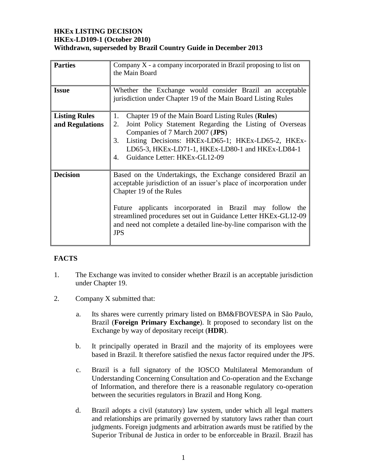# **HKEx LISTING DECISION HKEx-LD109-1 (October 2010) Withdrawn, superseded by Brazil Country Guide in December 2013**

| <b>Parties</b>       | Company $X$ - a company incorporated in Brazil proposing to list on                                                                                                                                          |  |  |
|----------------------|--------------------------------------------------------------------------------------------------------------------------------------------------------------------------------------------------------------|--|--|
|                      | the Main Board                                                                                                                                                                                               |  |  |
|                      |                                                                                                                                                                                                              |  |  |
| <b>Issue</b>         | Whether the Exchange would consider Brazil an acceptable                                                                                                                                                     |  |  |
|                      | jurisdiction under Chapter 19 of the Main Board Listing Rules                                                                                                                                                |  |  |
|                      |                                                                                                                                                                                                              |  |  |
| <b>Listing Rules</b> | 1.<br>Chapter 19 of the Main Board Listing Rules (Rules)                                                                                                                                                     |  |  |
| and Regulations      | Joint Policy Statement Regarding the Listing of Overseas<br>2.<br>Companies of 7 March 2007 (JPS)                                                                                                            |  |  |
|                      | Listing Decisions: HKEx-LD65-1; HKEx-LD65-2, HKEx-<br>3.                                                                                                                                                     |  |  |
|                      | LD65-3, HKEx-LD71-1, HKEx-LD80-1 and HKEx-LD84-1                                                                                                                                                             |  |  |
|                      | Guidance Letter: HKEx-GL12-09<br>4.                                                                                                                                                                          |  |  |
|                      |                                                                                                                                                                                                              |  |  |
| <b>Decision</b>      | Based on the Undertakings, the Exchange considered Brazil an<br>acceptable jurisdiction of an issuer's place of incorporation under<br>Chapter 19 of the Rules                                               |  |  |
|                      | Future applicants incorporated in Brazil may follow the<br>streamlined procedures set out in Guidance Letter HKEx-GL12-09<br>and need not complete a detailed line-by-line comparison with the<br><b>JPS</b> |  |  |

# **FACTS**

- 1. The Exchange was invited to consider whether Brazil is an acceptable jurisdiction under Chapter 19.
- 2. Company X submitted that:
	- a. Its shares were currently primary listed on BM&FBOVESPA in São Paulo, Brazil (**Foreign Primary Exchange**). It proposed to secondary list on the Exchange by way of depositary receipt (**HDR**).
	- b. It principally operated in Brazil and the majority of its employees were based in Brazil. It therefore satisfied the nexus factor required under the JPS.
	- c. Brazil is a full signatory of the IOSCO Multilateral Memorandum of Understanding Concerning Consultation and Co-operation and the Exchange of Information, and therefore there is a reasonable regulatory co-operation between the securities regulators in Brazil and Hong Kong.
	- d. Brazil adopts a civil (statutory) law system, under which all legal matters and relationships are primarily governed by statutory laws rather than court judgments. Foreign judgments and arbitration awards must be ratified by the Superior Tribunal de Justica in order to be enforceable in Brazil. Brazil has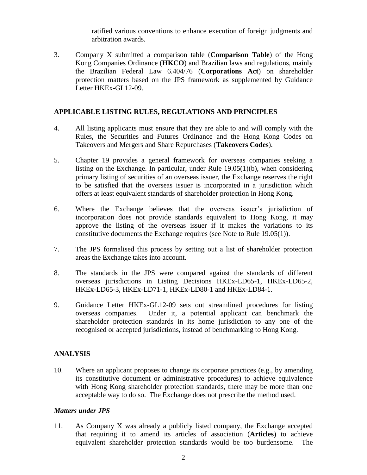ratified various conventions to enhance execution of foreign judgments and arbitration awards.

3. Company X submitted a comparison table (**Comparison Table**) of the Hong Kong Companies Ordinance (**HKCO**) and Brazilian laws and regulations, mainly the Brazilian Federal Law 6.404/76 (**Corporations Act**) on shareholder protection matters based on the JPS framework as supplemented by Guidance Letter HKEx-GL12-09.

#### **APPLICABLE LISTING RULES, REGULATIONS AND PRINCIPLES**

- 4. All listing applicants must ensure that they are able to and will comply with the Rules, the Securities and Futures Ordinance and the Hong Kong Codes on Takeovers and Mergers and Share Repurchases (**Takeovers Codes**).
- 5. Chapter 19 provides a general framework for overseas companies seeking a listing on the Exchange. In particular, under Rule 19.05(1)(b), when considering primary listing of securities of an overseas issuer, the Exchange reserves the right to be satisfied that the overseas issuer is incorporated in a jurisdiction which offers at least equivalent standards of shareholder protection in Hong Kong.
- 6. Where the Exchange believes that the overseas issuer's jurisdiction of incorporation does not provide standards equivalent to Hong Kong, it may approve the listing of the overseas issuer if it makes the variations to its constitutive documents the Exchange requires (see Note to Rule 19.05(1)).
- 7. The JPS formalised this process by setting out a list of shareholder protection areas the Exchange takes into account.
- 8. The standards in the JPS were compared against the standards of different overseas jurisdictions in Listing Decisions HKEx-LD65-1, HKEx-LD65-2, HKEx-LD65-3, HKEx-LD71-1, HKEx-LD80-1 and HKEx-LD84-1.
- 9. Guidance Letter HKEx-GL12-09 sets out streamlined procedures for listing overseas companies. Under it, a potential applicant can benchmark the shareholder protection standards in its home jurisdiction to any one of the recognised or accepted jurisdictions, instead of benchmarking to Hong Kong.

#### **ANALYSIS**

10. Where an applicant proposes to change its corporate practices (e.g., by amending its constitutive document or administrative procedures) to achieve equivalence with Hong Kong shareholder protection standards, there may be more than one acceptable way to do so. The Exchange does not prescribe the method used.

#### *Matters under JPS*

11. As Company X was already a publicly listed company, the Exchange accepted that requiring it to amend its articles of association (**Articles**) to achieve equivalent shareholder protection standards would be too burdensome. The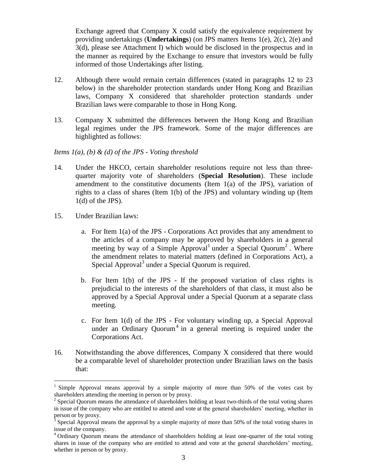Exchange agreed that Company X could satisfy the equivalence requirement by providing undertakings (**Undertakings**) (on JPS matters Items 1(e), 2(c), 2(e) and 3(d), please see Attachment I) which would be disclosed in the prospectus and in the manner as required by the Exchange to ensure that investors would be fully informed of those Undertakings after listing.

- 12. Although there would remain certain differences (stated in paragraphs 12 to 23 below) in the shareholder protection standards under Hong Kong and Brazilian laws, Company X considered that shareholder protection standards under Brazilian laws were comparable to those in Hong Kong.
- 13. Company X submitted the differences between the Hong Kong and Brazilian legal regimes under the JPS framework. Some of the major differences are highlighted as follows:

#### *Items 1(a), (b) & (d) of the JPS - Voting threshold*

- 14. Under the HKCO, certain shareholder resolutions require not less than threequarter majority vote of shareholders (**Special Resolution**). These include amendment to the constitutive documents (Item 1(a) of the JPS), variation of rights to a class of shares (Item 1(b) of the JPS) and voluntary winding up (Item 1(d) of the JPS).
- 15. Under Brazilian laws:

 $\overline{a}$ 

- a. For Item 1(a) of the JPS Corporations Act provides that any amendment to the articles of a company may be approved by shareholders in a general meeting by way of a Simple Approval<sup>1</sup> under a Special Quorum<sup>2</sup>. Where the amendment relates to material matters (defined in Corporations Act), a Special Approval<sup>3</sup> under a Special Quorum is required.
- b. For Item 1(b) of the JPS If the proposed variation of class rights is prejudicial to the interests of the shareholders of that class, it must also be approved by a Special Approval under a Special Quorum at a separate class meeting.
- c. For Item 1(d) of the JPS For voluntary winding up, a Special Approval under an Ordinary Quorum<sup>4</sup> in a general meeting is required under the Corporations Act.
- 16. Notwithstanding the above differences, Company X considered that there would be a comparable level of shareholder protection under Brazilian laws on the basis that:

<sup>1</sup> Simple Approval means approval by a simple majority of more than 50% of the votes cast by shareholders attending the meeting in person or by proxy.

 $2$  Special Quorum means the attendance of shareholders holding at least two-thirds of the total voting shares in issue of the company who are entitled to attend and vote at the general shareholders' meeting, whether in person or by proxy.<br><sup>3</sup> Special Approval means the approval by a simple majority of more than 50% of the total voting shares in

issue of the company.

<sup>4</sup> Ordinary Quorum means the attendance of shareholders holding at least one-quarter of the total voting shares in issue of the company who are entitled to attend and vote at the general shareholders' meeting, whether in person or by proxy.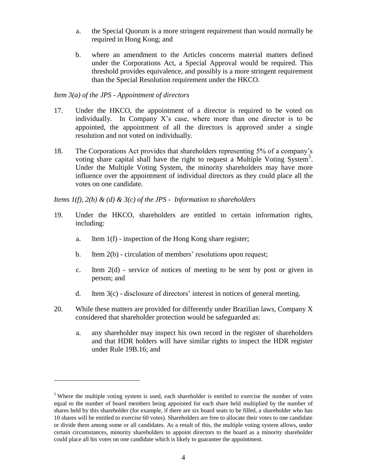- a. the Special Quorum is a more stringent requirement than would normally be required in Hong Kong; and
- b. where an amendment to the Articles concerns material matters defined under the Corporations Act, a Special Approval would be required. This threshold provides equivalence, and possibly is a more stringent requirement than the Special Resolution requirement under the HKCO.

#### *Item 3(a) of the JPS - Appointment of directors*

 $\overline{a}$ 

- 17. Under the HKCO, the appointment of a director is required to be voted on individually. In Company X's case, where more than one director is to be appointed, the appointment of all the directors is approved under a single resolution and not voted on individually.
- 18. The Corporations Act provides that shareholders representing 5% of a company's voting share capital shall have the right to request a Multiple Voting System<sup>5</sup>. Under the Multiple Voting System, the minority shareholders may have more influence over the appointment of individual directors as they could place all the votes on one candidate.

### *Items 1(f), 2(b) & (d) & 3(c) of the JPS - Information to shareholders*

- 19. Under the HKCO, shareholders are entitled to certain information rights, including:
	- a. Item 1(f) inspection of the Hong Kong share register;
	- b. Item 2(b) circulation of members' resolutions upon request;
	- c. Item 2(d) service of notices of meeting to be sent by post or given in person; and
	- d. Item 3(c) disclosure of directors' interest in notices of general meeting.
- 20. While these matters are provided for differently under Brazilian laws, Company X considered that shareholder protection would be safeguarded as:
	- a. any shareholder may inspect his own record in the register of shareholders and that HDR holders will have similar rights to inspect the HDR register under Rule 19B.16; and

 $5$  Where the multiple voting system is used, each shareholder is entitled to exercise the number of votes equal to the number of board members being appointed for each share held multiplied by the number of shares held by this shareholder (for example, if there are six board seats to be filled, a shareholder who has 10 shares will be entitled to exercise 60 votes). Shareholders are free to allocate their votes to one candidate or divide them among some or all candidates. As a result of this, the multiple voting system allows, under certain circumstances, minority shareholders to appoint directors to the board as a minority shareholder could place all his votes on one candidate which is likely to guarantee the appointment.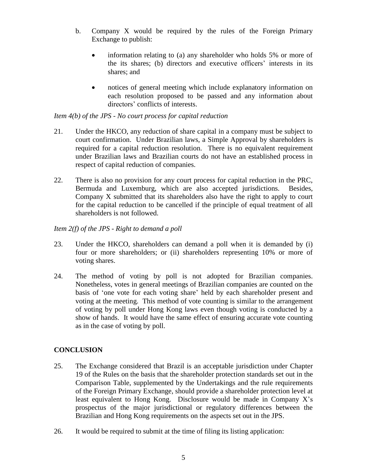- b. Company X would be required by the rules of the Foreign Primary Exchange to publish:
	- information relating to (a) any shareholder who holds 5% or more of the its shares; (b) directors and executive officers' interests in its shares; and
	- notices of general meeting which include explanatory information on each resolution proposed to be passed and any information about directors' conflicts of interests.

## *Item 4(b) of the JPS - No court process for capital reduction*

- 21. Under the HKCO, any reduction of share capital in a company must be subject to court confirmation. Under Brazilian laws, a Simple Approval by shareholders is required for a capital reduction resolution. There is no equivalent requirement under Brazilian laws and Brazilian courts do not have an established process in respect of capital reduction of companies.
- 22. There is also no provision for any court process for capital reduction in the PRC, Bermuda and Luxemburg, which are also accepted jurisdictions. Besides, Company X submitted that its shareholders also have the right to apply to court for the capital reduction to be cancelled if the principle of equal treatment of all shareholders is not followed.

### *Item 2(f) of the JPS - Right to demand a poll*

- 23. Under the HKCO, shareholders can demand a poll when it is demanded by (i) four or more shareholders; or (ii) shareholders representing 10% or more of voting shares.
- 24. The method of voting by poll is not adopted for Brazilian companies. Nonetheless, votes in general meetings of Brazilian companies are counted on the basis of 'one vote for each voting share' held by each shareholder present and voting at the meeting. This method of vote counting is similar to the arrangement of voting by poll under Hong Kong laws even though voting is conducted by a show of hands. It would have the same effect of ensuring accurate vote counting as in the case of voting by poll.

# **CONCLUSION**

- 25. The Exchange considered that Brazil is an acceptable jurisdiction under Chapter 19 of the Rules on the basis that the shareholder protection standards set out in the Comparison Table, supplemented by the Undertakings and the rule requirements of the Foreign Primary Exchange, should provide a shareholder protection level at least equivalent to Hong Kong. Disclosure would be made in Company X's prospectus of the major jurisdictional or regulatory differences between the Brazilian and Hong Kong requirements on the aspects set out in the JPS.
- 26. It would be required to submit at the time of filing its listing application: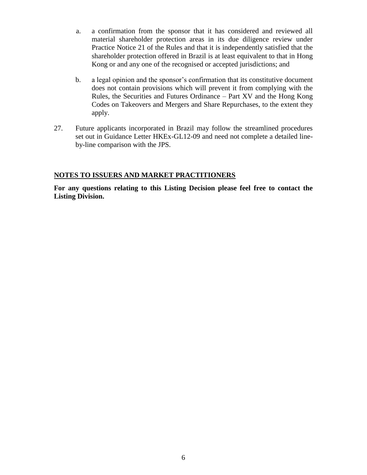- a. a confirmation from the sponsor that it has considered and reviewed all material shareholder protection areas in its due diligence review under Practice Notice 21 of the Rules and that it is independently satisfied that the shareholder protection offered in Brazil is at least equivalent to that in Hong Kong or and any one of the recognised or accepted jurisdictions; and
- b. a legal opinion and the sponsor's confirmation that its constitutive document does not contain provisions which will prevent it from complying with the Rules, the Securities and Futures Ordinance – Part XV and the Hong Kong Codes on Takeovers and Mergers and Share Repurchases, to the extent they apply.
- 27. Future applicants incorporated in Brazil may follow the streamlined procedures set out in Guidance Letter HKEx-GL12-09 and need not complete a detailed lineby-line comparison with the JPS.

### **NOTES TO ISSUERS AND MARKET PRACTITIONERS**

**For any questions relating to this Listing Decision please feel free to contact the Listing Division.**